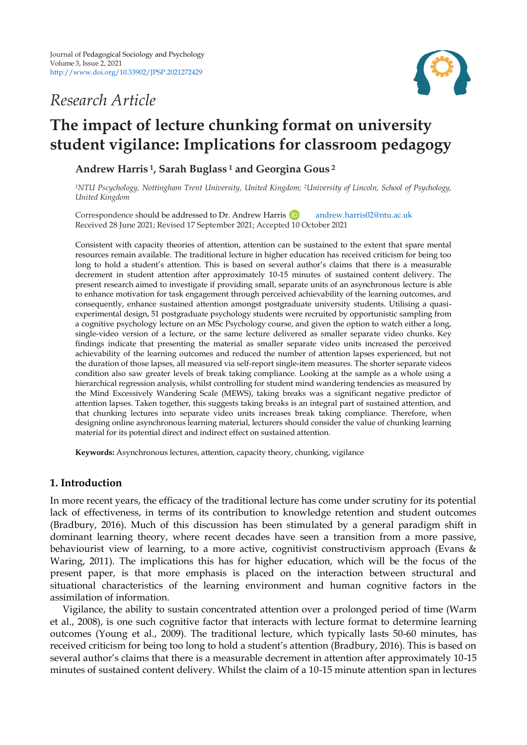# *Research Article*



# **The impact of lecture chunking format on university student vigilance: Implications for classroom pedagogy**

**Andrew Harris <sup>1</sup>, Sarah Buglass <sup>1</sup> and Georgina Gous <sup>2</sup>**

*<sup>1</sup>NTU Pscychology, Nottingham Trent University, United Kingdom; 2University of Lincoln, School of Psychology, United Kingdom*

Correspondence should be addressed to Dr. Andrew Harris **D** [andrew.harris02@ntu.ac.uk](mailto:andrew.harris02@ntu.ac.uk) Received 28 June 2021; Revised 17 September 2021; Accepted 10 October 2021

Consistent with capacity theories of attention, attention can be sustained to the extent that spare mental resources remain available. The traditional lecture in higher education has received criticism for being too long to hold a student's attention. This is based on several author's claims that there is a measurable decrement in student attention after approximately 10-15 minutes of sustained content delivery. The present research aimed to investigate if providing small, separate units of an asynchronous lecture is able to enhance motivation for task engagement through perceived achievability of the learning outcomes, and consequently, enhance sustained attention amongst postgraduate university students. Utilising a quasiexperimental design, 51 postgraduate psychology students were recruited by opportunistic sampling from a cognitive psychology lecture on an MSc Psychology course, and given the option to watch either a long, single-video version of a lecture, or the same lecture delivered as smaller separate video chunks. Key findings indicate that presenting the material as smaller separate video units increased the perceived achievability of the learning outcomes and reduced the number of attention lapses experienced, but not the duration of those lapses, all measured via self-report single-item measures. The shorter separate videos condition also saw greater levels of break taking compliance. Looking at the sample as a whole using a hierarchical regression analysis, whilst controlling for student mind wandering tendencies as measured by the Mind Excessively Wandering Scale (MEWS), taking breaks was a significant negative predictor of attention lapses. Taken together, this suggests taking breaks is an integral part of sustained attention, and that chunking lectures into separate video units increases break taking compliance. Therefore, when designing online asynchronous learning material, lecturers should consider the value of chunking learning material for its potential direct and indirect effect on sustained attention.

**Keywords:** Asynchronous lectures, attention, capacity theory, chunking, vigilance

# **1. Introduction**

In more recent years, the efficacy of the traditional lecture has come under scrutiny for its potential lack of effectiveness, in terms of its contribution to knowledge retention and student outcomes (Bradbury, 2016). Much of this discussion has been stimulated by a general paradigm shift in dominant learning theory, where recent decades have seen a transition from a more passive, behaviourist view of learning, to a more active, cognitivist constructivism approach (Evans & Waring, 2011). The implications this has for higher education, which will be the focus of the present paper, is that more emphasis is placed on the interaction between structural and situational characteristics of the learning environment and human cognitive factors in the assimilation of information.

Vigilance, the ability to sustain concentrated attention over a prolonged period of time (Warm et al., 2008), is one such cognitive factor that interacts with lecture format to determine learning outcomes (Young et al., 2009). The traditional lecture, which typically lasts 50-60 minutes, has received criticism for being too long to hold a student's attention (Bradbury, 2016). This is based on several author's claims that there is a measurable decrement in attention after approximately 10-15 minutes of sustained content delivery. Whilst the claim of a 10-15 minute attention span in lectures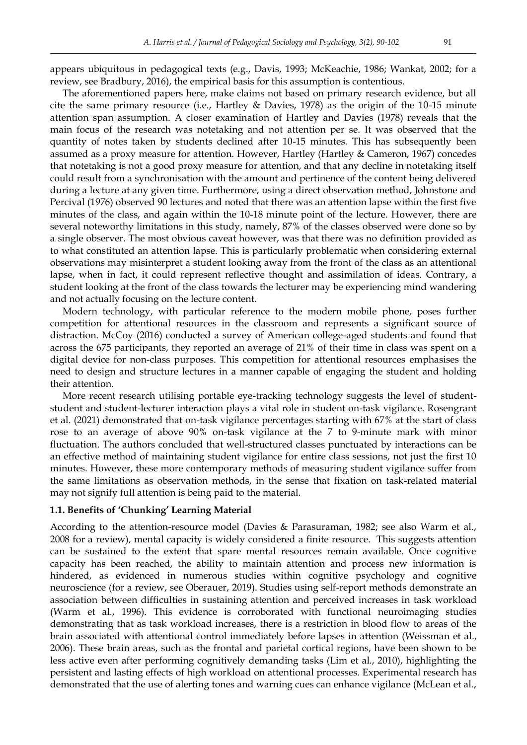appears ubiquitous in pedagogical texts (e.g., Davis, 1993; McKeachie, 1986; Wankat, 2002; for a review, see Bradbury, 2016), the empirical basis for this assumption is contentious.

The aforementioned papers here, make claims not based on primary research evidence, but all cite the same primary resource (i.e., Hartley & Davies, 1978) as the origin of the 10-15 minute attention span assumption. A closer examination of Hartley and Davies (1978) reveals that the main focus of the research was notetaking and not attention per se. It was observed that the quantity of notes taken by students declined after 10-15 minutes. This has subsequently been assumed as a proxy measure for attention. However, Hartley (Hartley & Cameron, 1967) concedes that notetaking is not a good proxy measure for attention, and that any decline in notetaking itself could result from a synchronisation with the amount and pertinence of the content being delivered during a lecture at any given time. Furthermore, using a direct observation method, Johnstone and Percival (1976) observed 90 lectures and noted that there was an attention lapse within the first five minutes of the class, and again within the 10-18 minute point of the lecture. However, there are several noteworthy limitations in this study, namely, 87% of the classes observed were done so by a single observer. The most obvious caveat however, was that there was no definition provided as to what constituted an attention lapse. This is particularly problematic when considering external observations may misinterpret a student looking away from the front of the class as an attentional lapse, when in fact, it could represent reflective thought and assimilation of ideas. Contrary, a student looking at the front of the class towards the lecturer may be experiencing mind wandering and not actually focusing on the lecture content.

Modern technology, with particular reference to the modern mobile phone, poses further competition for attentional resources in the classroom and represents a significant source of distraction. McCoy (2016) conducted a survey of American college-aged students and found that across the 675 participants, they reported an average of 21% of their time in class was spent on a digital device for non-class purposes. This competition for attentional resources emphasises the need to design and structure lectures in a manner capable of engaging the student and holding their attention.

More recent research utilising portable eye-tracking technology suggests the level of studentstudent and student-lecturer interaction plays a vital role in student on-task vigilance. Rosengrant et al. (2021) demonstrated that on-task vigilance percentages starting with 67% at the start of class rose to an average of above 90% on-task vigilance at the 7 to 9-minute mark with minor fluctuation. The authors concluded that well-structured classes punctuated by interactions can be an effective method of maintaining student vigilance for entire class sessions, not just the first 10 minutes. However, these more contemporary methods of measuring student vigilance suffer from the same limitations as observation methods, in the sense that fixation on task-related material may not signify full attention is being paid to the material.

#### **1.1. Benefits of 'Chunking' Learning Material**

According to the attention-resource model (Davies & Parasuraman, 1982; see also Warm et al., 2008 for a review), mental capacity is widely considered a finite resource. This suggests attention can be sustained to the extent that spare mental resources remain available. Once cognitive capacity has been reached, the ability to maintain attention and process new information is hindered, as evidenced in numerous studies within cognitive psychology and cognitive neuroscience (for a review, see Oberauer, 2019). Studies using self-report methods demonstrate an association between difficulties in sustaining attention and perceived increases in task workload (Warm et al., 1996). This evidence is corroborated with functional neuroimaging studies demonstrating that as task workload increases, there is a restriction in blood flow to areas of the brain associated with attentional control immediately before lapses in attention (Weissman et al., 2006). These brain areas, such as the frontal and parietal cortical regions, have been shown to be less active even after performing cognitively demanding tasks (Lim et al., 2010), highlighting the persistent and lasting effects of high workload on attentional processes. Experimental research has demonstrated that the use of alerting tones and warning cues can enhance vigilance (McLean et al.,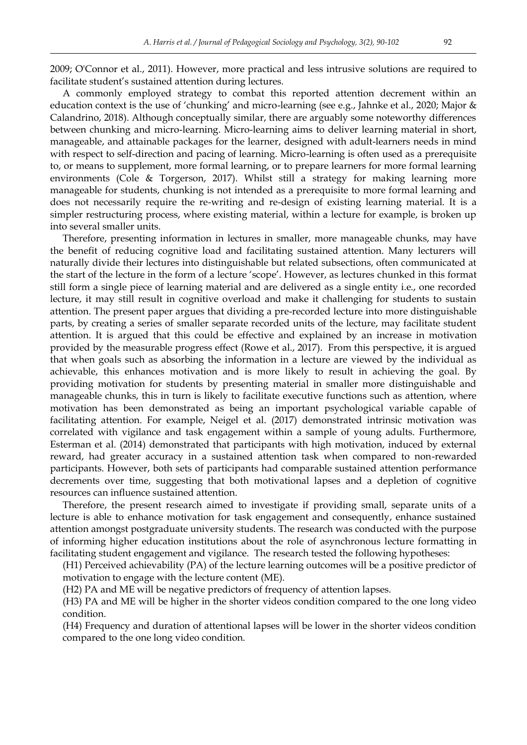2009; O'Connor et al., 2011). However, more practical and less intrusive solutions are required to facilitate student's sustained attention during lectures.

A commonly employed strategy to combat this reported attention decrement within an education context is the use of 'chunking' and micro-learning (see e.g., Jahnke et al., 2020; Major & Calandrino, 2018). Although conceptually similar, there are arguably some noteworthy differences between chunking and micro-learning. Micro-learning aims to deliver learning material in short, manageable, and attainable packages for the learner, designed with adult-learners needs in mind with respect to self-direction and pacing of learning. Micro-learning is often used as a prerequisite to, or means to supplement, more formal learning, or to prepare learners for more formal learning environments (Cole & Torgerson, 2017). Whilst still a strategy for making learning more manageable for students, chunking is not intended as a prerequisite to more formal learning and does not necessarily require the re-writing and re-design of existing learning material. It is a simpler restructuring process, where existing material, within a lecture for example, is broken up into several smaller units.

Therefore, presenting information in lectures in smaller, more manageable chunks, may have the benefit of reducing cognitive load and facilitating sustained attention. Many lecturers will naturally divide their lectures into distinguishable but related subsections, often communicated at the start of the lecture in the form of a lecture 'scope'. However, as lectures chunked in this format still form a single piece of learning material and are delivered as a single entity i.e., one recorded lecture, it may still result in cognitive overload and make it challenging for students to sustain attention. The present paper argues that dividing a pre-recorded lecture into more distinguishable parts, by creating a series of smaller separate recorded units of the lecture, may facilitate student attention. It is argued that this could be effective and explained by an increase in motivation provided by the measurable progress effect (Rowe et al., 2017). From this perspective, it is argued that when goals such as absorbing the information in a lecture are viewed by the individual as achievable, this enhances motivation and is more likely to result in achieving the goal. By providing motivation for students by presenting material in smaller more distinguishable and manageable chunks, this in turn is likely to facilitate executive functions such as attention, where motivation has been demonstrated as being an important psychological variable capable of facilitating attention. For example, Neigel et al. (2017) demonstrated intrinsic motivation was correlated with vigilance and task engagement within a sample of young adults. Furthermore, Esterman et al. (2014) demonstrated that participants with high motivation, induced by external reward, had greater accuracy in a sustained attention task when compared to non-rewarded participants. However, both sets of participants had comparable sustained attention performance decrements over time, suggesting that both motivational lapses and a depletion of cognitive resources can influence sustained attention.

Therefore, the present research aimed to investigate if providing small, separate units of a lecture is able to enhance motivation for task engagement and consequently, enhance sustained attention amongst postgraduate university students. The research was conducted with the purpose of informing higher education institutions about the role of asynchronous lecture formatting in facilitating student engagement and vigilance. The research tested the following hypotheses:

(H1) Perceived achievability (PA) of the lecture learning outcomes will be a positive predictor of motivation to engage with the lecture content (ME).

(H2) PA and ME will be negative predictors of frequency of attention lapses.

(H3) PA and ME will be higher in the shorter videos condition compared to the one long video condition.

(H4) Frequency and duration of attentional lapses will be lower in the shorter videos condition compared to the one long video condition.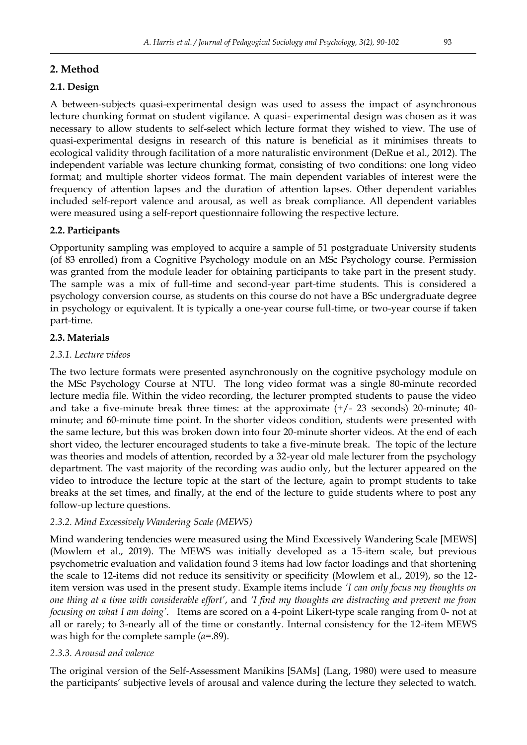# **2. Method**

# **2.1. Design**

A between-subjects quasi-experimental design was used to assess the impact of asynchronous lecture chunking format on student vigilance. A quasi- experimental design was chosen as it was necessary to allow students to self-select which lecture format they wished to view. The use of quasi-experimental designs in research of this nature is beneficial as it minimises threats to ecological validity through facilitation of a more naturalistic environment (DeRue et al., 2012). The independent variable was lecture chunking format, consisting of two conditions: one long video format; and multiple shorter videos format. The main dependent variables of interest were the frequency of attention lapses and the duration of attention lapses. Other dependent variables included self-report valence and arousal, as well as break compliance. All dependent variables were measured using a self-report questionnaire following the respective lecture.

# **2.2. Participants**

Opportunity sampling was employed to acquire a sample of 51 postgraduate University students (of 83 enrolled) from a Cognitive Psychology module on an MSc Psychology course. Permission was granted from the module leader for obtaining participants to take part in the present study. The sample was a mix of full-time and second-year part-time students. This is considered a psychology conversion course, as students on this course do not have a BSc undergraduate degree in psychology or equivalent. It is typically a one-year course full-time, or two-year course if taken part-time.

# **2.3. Materials**

# *2.3.1. Lecture videos*

The two lecture formats were presented asynchronously on the cognitive psychology module on the MSc Psychology Course at NTU. The long video format was a single 80-minute recorded lecture media file. Within the video recording, the lecturer prompted students to pause the video and take a five-minute break three times: at the approximate  $(+/- 23$  seconds) 20-minute; 40minute; and 60-minute time point. In the shorter videos condition, students were presented with the same lecture, but this was broken down into four 20-minute shorter videos. At the end of each short video, the lecturer encouraged students to take a five-minute break. The topic of the lecture was theories and models of attention, recorded by a 32-year old male lecturer from the psychology department. The vast majority of the recording was audio only, but the lecturer appeared on the video to introduce the lecture topic at the start of the lecture, again to prompt students to take breaks at the set times, and finally, at the end of the lecture to guide students where to post any follow-up lecture questions.

# *2.3.2. Mind Excessively Wandering Scale (MEWS)*

Mind wandering tendencies were measured using the Mind Excessively Wandering Scale [MEWS] (Mowlem et al., 2019). The MEWS was initially developed as a 15-item scale, but previous psychometric evaluation and validation found 3 items had low factor loadings and that shortening the scale to 12-items did not reduce its sensitivity or specificity (Mowlem et al., 2019), so the 12 item version was used in the present study. Example items include *'I can only focus my thoughts on one thing at a time with considerable effort'*, and *'I find my thoughts are distracting and prevent me from focusing on what I am doing'*. Items are scored on a 4-point Likert-type scale ranging from 0- not at all or rarely; to 3-nearly all of the time or constantly. Internal consistency for the 12-item MEWS was high for the complete sample (*α*=.89).

# *2.3.3. Arousal and valence*

The original version of the Self-Assessment Manikins [SAMs] (Lang, 1980) were used to measure the participants' subjective levels of arousal and valence during the lecture they selected to watch.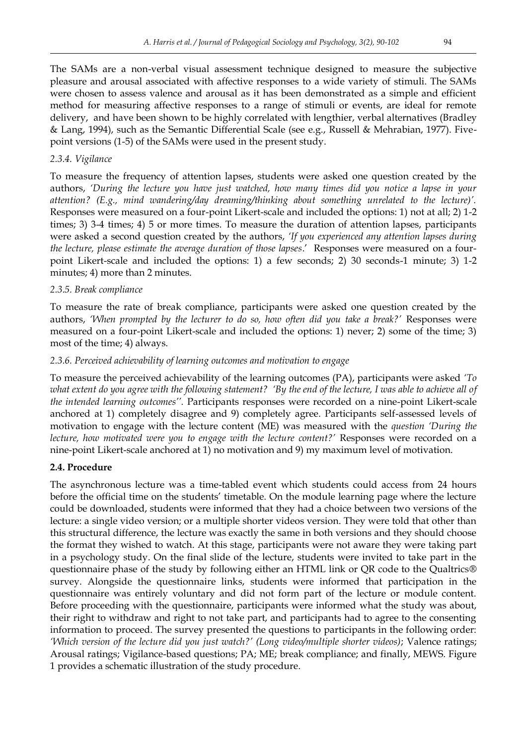The SAMs are a non-verbal visual assessment technique designed to measure the subjective pleasure and arousal associated with affective responses to a wide variety of stimuli. The SAMs were chosen to assess valence and arousal as it has been demonstrated as a simple and efficient method for measuring affective responses to a range of stimuli or events, are ideal for remote delivery, and have been shown to be highly correlated with lengthier, verbal alternatives (Bradley & Lang, 1994), such as the Semantic Differential Scale (see e.g., Russell & Mehrabian, 1977). Fivepoint versions (1-5) of the SAMs were used in the present study.

## *2.3.4. Vigilance*

To measure the frequency of attention lapses, students were asked one question created by the authors, *'During the lecture you have just watched, how many times did you notice a lapse in your attention? (E.g., mind wandering/day dreaming/thinking about something unrelated to the lecture)'.* Responses were measured on a four-point Likert-scale and included the options: 1) not at all; 2) 1-2 times; 3) 3-4 times; 4) 5 or more times. To measure the duration of attention lapses, participants were asked a second question created by the authors, *'If you experienced any attention lapses during the lecture, please estimate the average duration of those lapses*.' Responses were measured on a fourpoint Likert-scale and included the options: 1) a few seconds; 2) 30 seconds-1 minute; 3) 1-2 minutes; 4) more than 2 minutes.

## *2.3.5. Break compliance*

To measure the rate of break compliance, participants were asked one question created by the authors, *'When prompted by the lecturer to do so, how often did you take a break?'* Responses were measured on a four-point Likert-scale and included the options: 1) never; 2) some of the time; 3) most of the time; 4) always.

## *2.3.6. Perceived achievability of learning outcomes and motivation to engage*

To measure the perceived achievability of the learning outcomes (PA), participants were asked *'To what extent do you agree with the following statement? 'By the end of the lecture, I was able to achieve all of the intended learning outcomes''.* Participants responses were recorded on a nine-point Likert-scale anchored at 1) completely disagree and 9) completely agree. Participants self-assessed levels of motivation to engage with the lecture content (ME) was measured with the *question 'During the*  lecture, how motivated were you to engage with the lecture content?' Responses were recorded on a nine-point Likert-scale anchored at 1) no motivation and 9) my maximum level of motivation.

## **2.4. Procedure**

The asynchronous lecture was a time-tabled event which students could access from 24 hours before the official time on the students' timetable. On the module learning page where the lecture could be downloaded, students were informed that they had a choice between two versions of the lecture: a single video version; or a multiple shorter videos version. They were told that other than this structural difference, the lecture was exactly the same in both versions and they should choose the format they wished to watch. At this stage, participants were not aware they were taking part in a psychology study. On the final slide of the lecture, students were invited to take part in the questionnaire phase of the study by following either an HTML link or QR code to the Qualtrics® survey. Alongside the questionnaire links, students were informed that participation in the questionnaire was entirely voluntary and did not form part of the lecture or module content. Before proceeding with the questionnaire, participants were informed what the study was about, their right to withdraw and right to not take part, and participants had to agree to the consenting information to proceed. The survey presented the questions to participants in the following order: *'Which version of the lecture did you just watch?' (Long video/multiple shorter videos)*; Valence ratings; Arousal ratings; Vigilance-based questions; PA; ME; break compliance; and finally, MEWS. Figure 1 provides a schematic illustration of the study procedure.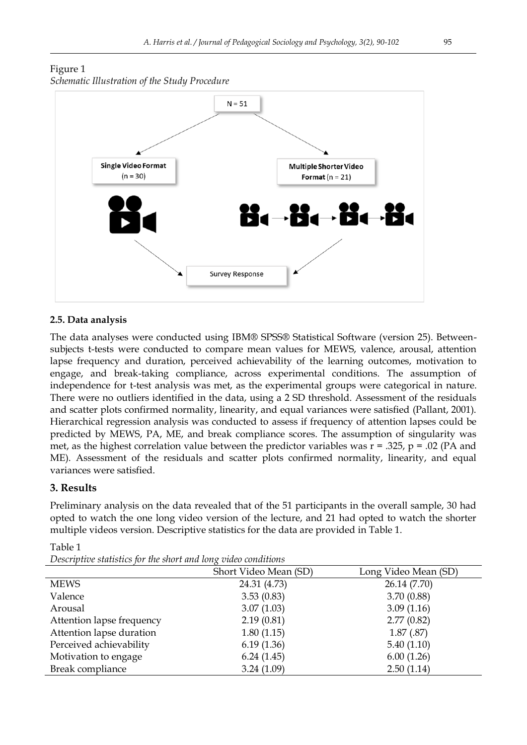## Figure 1 *Schematic Illustration of the Study Procedure*



## **2.5. Data analysis**

The data analyses were conducted using IBM® SPSS® Statistical Software (version 25). Betweensubjects t-tests were conducted to compare mean values for MEWS, valence, arousal, attention lapse frequency and duration, perceived achievability of the learning outcomes, motivation to engage, and break-taking compliance, across experimental conditions. The assumption of independence for t-test analysis was met, as the experimental groups were categorical in nature. There were no outliers identified in the data, using a 2 SD threshold. Assessment of the residuals and scatter plots confirmed normality, linearity, and equal variances were satisfied (Pallant, 2001). Hierarchical regression analysis was conducted to assess if frequency of attention lapses could be predicted by MEWS, PA, ME, and break compliance scores. The assumption of singularity was met, as the highest correlation value between the predictor variables was  $r = .325$ ,  $p = .02$  (PA and ME). Assessment of the residuals and scatter plots confirmed normality, linearity, and equal variances were satisfied.

## **3. Results**

Preliminary analysis on the data revealed that of the 51 participants in the overall sample, 30 had opted to watch the one long video version of the lecture, and 21 had opted to watch the shorter multiple videos version. Descriptive statistics for the data are provided in Table 1.

|                           | Short Video Mean (SD) | Long Video Mean (SD) |
|---------------------------|-----------------------|----------------------|
| <b>MEWS</b>               | 24.31 (4.73)          | 26.14 (7.70)         |
| Valence                   | 3.53(0.83)            | 3.70(0.88)           |
| Arousal                   | 3.07(1.03)            | 3.09(1.16)           |
| Attention lapse frequency | 2.19(0.81)            | 2.77(0.82)           |
| Attention lapse duration  | 1.80(1.15)            | 1.87(.87)            |
| Perceived achievability   | 6.19(1.36)            | 5.40(1.10)           |
| Motivation to engage      | 6.24(1.45)            | 6.00(1.26)           |
| Break compliance          | 3.24(1.09)            | 2.50(1.14)           |

Table 1

*Descriptive statistics for the short and long video conditions*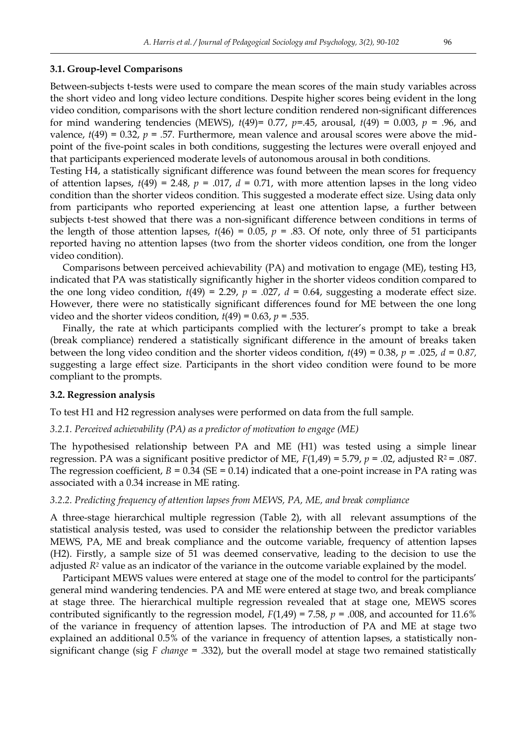#### **3.1. Group-level Comparisons**

Between-subjects t-tests were used to compare the mean scores of the main study variables across the short video and long video lecture conditions. Despite higher scores being evident in the long video condition, comparisons with the short lecture condition rendered non-significant differences for mind wandering tendencies (MEWS), *t*(49)= 0.77, *p=.*45, arousal, *t*(49) = 0.003, *p* = .96, and valence,  $t(49) = 0.32$ ,  $p = .57$ . Furthermore, mean valence and arousal scores were above the midpoint of the five-point scales in both conditions, suggesting the lectures were overall enjoyed and that participants experienced moderate levels of autonomous arousal in both conditions.

Testing H4, a statistically significant difference was found between the mean scores for frequency of attention lapses,  $t(49) = 2.48$ ,  $p = .017$ ,  $d = 0.71$ , with more attention lapses in the long video condition than the shorter videos condition. This suggested a moderate effect size. Using data only from participants who reported experiencing at least one attention lapse, a further between subjects t-test showed that there was a non-significant difference between conditions in terms of the length of those attention lapses,  $t(46) = 0.05$ ,  $p = .83$ . Of note, only three of 51 participants reported having no attention lapses (two from the shorter videos condition, one from the longer video condition).

Comparisons between perceived achievability (PA) and motivation to engage (ME), testing H3, indicated that PA was statistically significantly higher in the shorter videos condition compared to the one long video condition,  $t(49) = 2.29$ ,  $p = .027$ ,  $d = 0.64$ , suggesting a moderate effect size. However, there were no statistically significant differences found for ME between the one long video and the shorter videos condition,  $t(49) = 0.63$ ,  $p = .535$ .

Finally, the rate at which participants complied with the lecturer's prompt to take a break (break compliance) rendered a statistically significant difference in the amount of breaks taken between the long video condition and the shorter videos condition, *t*(49) = 0.38, *p* = .025, *d =* 0*.87,*  suggesting a large effect size*.* Participants in the short video condition were found to be more compliant to the prompts.

#### **3.2. Regression analysis**

To test H1 and H2 regression analyses were performed on data from the full sample.

#### *3.2.1. Perceived achievability (PA) as a predictor of motivation to engage (ME)*

The hypothesised relationship between PA and ME (H1) was tested using a simple linear regression. PA was a significant positive predictor of ME, *F*(1,49) = 5.79, *p* = .02, adjusted R2 = .087. The regression coefficient,  $B = 0.34$  (SE = 0.14) indicated that a one-point increase in PA rating was associated with a 0.34 increase in ME rating.

#### *3.2.2. Predicting frequency of attention lapses from MEWS, PA, ME, and break compliance*

A three-stage hierarchical multiple regression (Table 2), with all relevant assumptions of the statistical analysis tested, was used to consider the relationship between the predictor variables MEWS, PA, ME and break compliance and the outcome variable, frequency of attention lapses (H2). Firstly, a sample size of 51 was deemed conservative, leading to the decision to use the adjusted *R<sup>2</sup>* value as an indicator of the variance in the outcome variable explained by the model.

Participant MEWS values were entered at stage one of the model to control for the participants' general mind wandering tendencies. PA and ME were entered at stage two, and break compliance at stage three. The hierarchical multiple regression revealed that at stage one, MEWS scores contributed significantly to the regression model,  $F(1,49) = 7.58$ ,  $p = .008$ , and accounted for 11.6% of the variance in frequency of attention lapses. The introduction of PA and ME at stage two explained an additional 0.5% of the variance in frequency of attention lapses, a statistically nonsignificant change (sig *F change* = .332), but the overall model at stage two remained statistically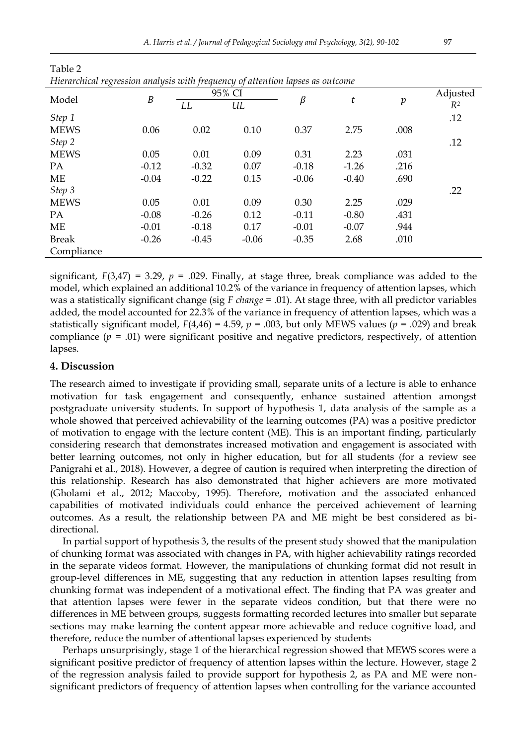| rierurchicul regression unalysis with frequency of attention tapses as outcome |                  |         |         |         |         |                  |          |  |
|--------------------------------------------------------------------------------|------------------|---------|---------|---------|---------|------------------|----------|--|
| Model                                                                          | $\boldsymbol{B}$ | 95% CI  |         |         |         |                  | Adjusted |  |
|                                                                                |                  | LL      | UL      | $\beta$ | t       | $\boldsymbol{p}$ | $R^2$    |  |
| Step 1                                                                         |                  |         |         |         |         |                  | .12      |  |
| <b>MEWS</b>                                                                    | 0.06             | 0.02    | 0.10    | 0.37    | 2.75    | .008             |          |  |
| Step 2                                                                         |                  |         |         |         |         |                  | .12      |  |
| <b>MEWS</b>                                                                    | 0.05             | 0.01    | 0.09    | 0.31    | 2.23    | .031             |          |  |
| PA                                                                             | $-0.12$          | $-0.32$ | 0.07    | $-0.18$ | $-1.26$ | .216             |          |  |
| МE                                                                             | $-0.04$          | $-0.22$ | 0.15    | $-0.06$ | $-0.40$ | .690             |          |  |
| Step 3                                                                         |                  |         |         |         |         |                  | .22      |  |
| <b>MEWS</b>                                                                    | 0.05             | 0.01    | 0.09    | 0.30    | 2.25    | .029             |          |  |
| PA                                                                             | $-0.08$          | $-0.26$ | 0.12    | $-0.11$ | $-0.80$ | .431             |          |  |
| ME                                                                             | $-0.01$          | $-0.18$ | 0.17    | $-0.01$ | $-0.07$ | .944             |          |  |
| <b>Break</b>                                                                   | $-0.26$          | $-0.45$ | $-0.06$ | $-0.35$ | 2.68    | .010             |          |  |
| Compliance                                                                     |                  |         |         |         |         |                  |          |  |

Table 2 *Hierarchical regression analysis with frequency of attention lapses as outcome*

significant,  $F(3,47) = 3.29$ ,  $p = .029$ . Finally, at stage three, break compliance was added to the model, which explained an additional 10.2% of the variance in frequency of attention lapses, which was a statistically significant change (sig *F change* = .01). At stage three, with all predictor variables added, the model accounted for 22.3% of the variance in frequency of attention lapses, which was a statistically significant model,  $F(4,46) = 4.59$ ,  $p = .003$ , but only MEWS values ( $p = .029$ ) and break compliance  $(p = .01)$  were significant positive and negative predictors, respectively, of attention lapses.

## **4. Discussion**

The research aimed to investigate if providing small, separate units of a lecture is able to enhance motivation for task engagement and consequently, enhance sustained attention amongst postgraduate university students. In support of hypothesis 1, data analysis of the sample as a whole showed that perceived achievability of the learning outcomes (PA) was a positive predictor of motivation to engage with the lecture content (ME). This is an important finding, particularly considering research that demonstrates increased motivation and engagement is associated with better learning outcomes, not only in higher education, but for all students (for a review see Panigrahi et al., 2018). However, a degree of caution is required when interpreting the direction of this relationship. Research has also demonstrated that higher achievers are more motivated (Gholami et al., 2012; Maccoby, 1995). Therefore, motivation and the associated enhanced capabilities of motivated individuals could enhance the perceived achievement of learning outcomes. As a result, the relationship between PA and ME might be best considered as bidirectional.

In partial support of hypothesis 3, the results of the present study showed that the manipulation of chunking format was associated with changes in PA, with higher achievability ratings recorded in the separate videos format. However, the manipulations of chunking format did not result in group-level differences in ME, suggesting that any reduction in attention lapses resulting from chunking format was independent of a motivational effect. The finding that PA was greater and that attention lapses were fewer in the separate videos condition, but that there were no differences in ME between groups, suggests formatting recorded lectures into smaller but separate sections may make learning the content appear more achievable and reduce cognitive load, and therefore, reduce the number of attentional lapses experienced by students

Perhaps unsurprisingly, stage 1 of the hierarchical regression showed that MEWS scores were a significant positive predictor of frequency of attention lapses within the lecture. However, stage 2 of the regression analysis failed to provide support for hypothesis 2, as PA and ME were nonsignificant predictors of frequency of attention lapses when controlling for the variance accounted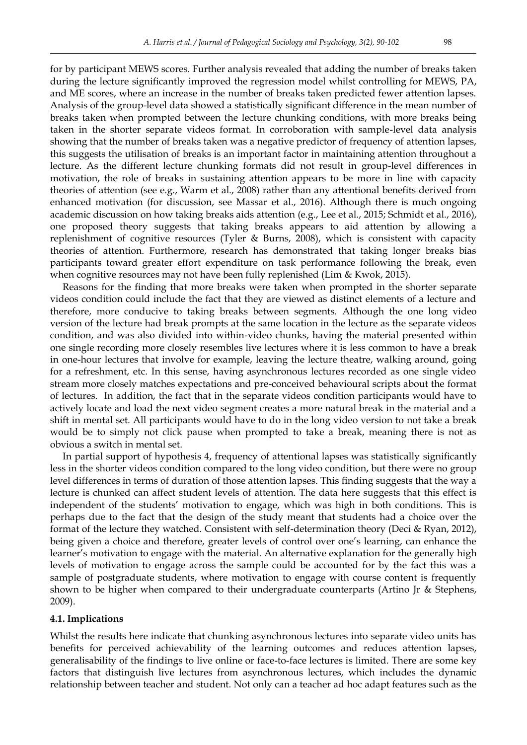for by participant MEWS scores. Further analysis revealed that adding the number of breaks taken during the lecture significantly improved the regression model whilst controlling for MEWS, PA, and ME scores, where an increase in the number of breaks taken predicted fewer attention lapses. Analysis of the group-level data showed a statistically significant difference in the mean number of breaks taken when prompted between the lecture chunking conditions, with more breaks being taken in the shorter separate videos format. In corroboration with sample-level data analysis showing that the number of breaks taken was a negative predictor of frequency of attention lapses, this suggests the utilisation of breaks is an important factor in maintaining attention throughout a lecture. As the different lecture chunking formats did not result in group-level differences in motivation, the role of breaks in sustaining attention appears to be more in line with capacity theories of attention (see e.g., Warm et al., 2008) rather than any attentional benefits derived from enhanced motivation (for discussion, see Massar et al., 2016). Although there is much ongoing academic discussion on how taking breaks aids attention (e.g., Lee et al., 2015; Schmidt et al., 2016), one proposed theory suggests that taking breaks appears to aid attention by allowing a replenishment of cognitive resources (Tyler & Burns, 2008), which is consistent with capacity theories of attention. Furthermore, research has demonstrated that taking longer breaks bias participants toward greater effort expenditure on task performance following the break, even when cognitive resources may not have been fully replenished (Lim & Kwok, 2015).

Reasons for the finding that more breaks were taken when prompted in the shorter separate videos condition could include the fact that they are viewed as distinct elements of a lecture and therefore, more conducive to taking breaks between segments. Although the one long video version of the lecture had break prompts at the same location in the lecture as the separate videos condition, and was also divided into within-video chunks, having the material presented within one single recording more closely resembles live lectures where it is less common to have a break in one-hour lectures that involve for example, leaving the lecture theatre, walking around, going for a refreshment, etc. In this sense, having asynchronous lectures recorded as one single video stream more closely matches expectations and pre-conceived behavioural scripts about the format of lectures. In addition, the fact that in the separate videos condition participants would have to actively locate and load the next video segment creates a more natural break in the material and a shift in mental set. All participants would have to do in the long video version to not take a break would be to simply not click pause when prompted to take a break, meaning there is not as obvious a switch in mental set.

In partial support of hypothesis 4, frequency of attentional lapses was statistically significantly less in the shorter videos condition compared to the long video condition, but there were no group level differences in terms of duration of those attention lapses. This finding suggests that the way a lecture is chunked can affect student levels of attention. The data here suggests that this effect is independent of the students' motivation to engage, which was high in both conditions. This is perhaps due to the fact that the design of the study meant that students had a choice over the format of the lecture they watched. Consistent with self-determination theory (Deci & Ryan, 2012), being given a choice and therefore, greater levels of control over one's learning, can enhance the learner's motivation to engage with the material. An alternative explanation for the generally high levels of motivation to engage across the sample could be accounted for by the fact this was a sample of postgraduate students, where motivation to engage with course content is frequently shown to be higher when compared to their undergraduate counterparts (Artino Jr & Stephens, 2009).

#### **4.1. Implications**

Whilst the results here indicate that chunking asynchronous lectures into separate video units has benefits for perceived achievability of the learning outcomes and reduces attention lapses, generalisability of the findings to live online or face-to-face lectures is limited. There are some key factors that distinguish live lectures from asynchronous lectures, which includes the dynamic relationship between teacher and student. Not only can a teacher ad hoc adapt features such as the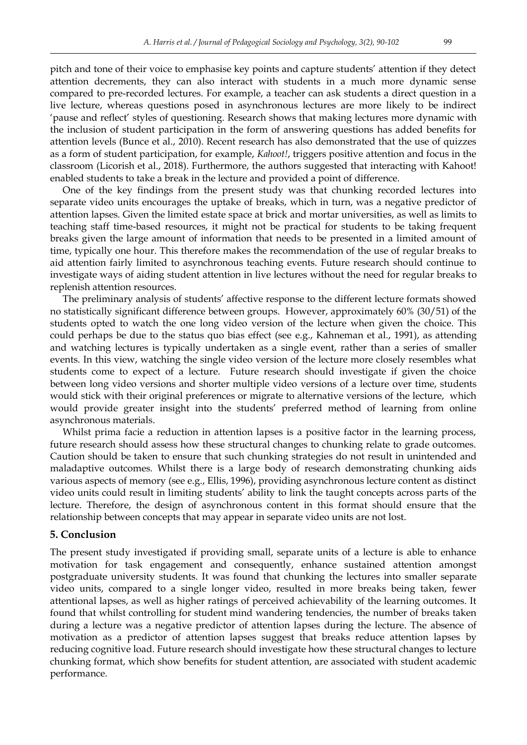pitch and tone of their voice to emphasise key points and capture students' attention if they detect attention decrements, they can also interact with students in a much more dynamic sense compared to pre-recorded lectures. For example, a teacher can ask students a direct question in a live lecture, whereas questions posed in asynchronous lectures are more likely to be indirect 'pause and reflect' styles of questioning. Research shows that making lectures more dynamic with the inclusion of student participation in the form of answering questions has added benefits for attention levels (Bunce et al., 2010). Recent research has also demonstrated that the use of quizzes as a form of student participation, for example, *Kahoot!*, triggers positive attention and focus in the classroom (Licorish et al., 2018). Furthermore, the authors suggested that interacting with Kahoot! enabled students to take a break in the lecture and provided a point of difference.

One of the key findings from the present study was that chunking recorded lectures into separate video units encourages the uptake of breaks, which in turn, was a negative predictor of attention lapses. Given the limited estate space at brick and mortar universities, as well as limits to teaching staff time-based resources, it might not be practical for students to be taking frequent breaks given the large amount of information that needs to be presented in a limited amount of time, typically one hour. This therefore makes the recommendation of the use of regular breaks to aid attention fairly limited to asynchronous teaching events. Future research should continue to investigate ways of aiding student attention in live lectures without the need for regular breaks to replenish attention resources.

The preliminary analysis of students' affective response to the different lecture formats showed no statistically significant difference between groups. However, approximately 60% (30/51) of the students opted to watch the one long video version of the lecture when given the choice. This could perhaps be due to the status quo bias effect (see e.g., Kahneman et al., 1991), as attending and watching lectures is typically undertaken as a single event, rather than a series of smaller events. In this view, watching the single video version of the lecture more closely resembles what students come to expect of a lecture. Future research should investigate if given the choice between long video versions and shorter multiple video versions of a lecture over time, students would stick with their original preferences or migrate to alternative versions of the lecture, which would provide greater insight into the students' preferred method of learning from online asynchronous materials.

Whilst prima facie a reduction in attention lapses is a positive factor in the learning process, future research should assess how these structural changes to chunking relate to grade outcomes. Caution should be taken to ensure that such chunking strategies do not result in unintended and maladaptive outcomes. Whilst there is a large body of research demonstrating chunking aids various aspects of memory (see e.g., Ellis, 1996), providing asynchronous lecture content as distinct video units could result in limiting students' ability to link the taught concepts across parts of the lecture. Therefore, the design of asynchronous content in this format should ensure that the relationship between concepts that may appear in separate video units are not lost.

#### **5. Conclusion**

The present study investigated if providing small, separate units of a lecture is able to enhance motivation for task engagement and consequently, enhance sustained attention amongst postgraduate university students. It was found that chunking the lectures into smaller separate video units, compared to a single longer video, resulted in more breaks being taken, fewer attentional lapses, as well as higher ratings of perceived achievability of the learning outcomes. It found that whilst controlling for student mind wandering tendencies, the number of breaks taken during a lecture was a negative predictor of attention lapses during the lecture. The absence of motivation as a predictor of attention lapses suggest that breaks reduce attention lapses by reducing cognitive load. Future research should investigate how these structural changes to lecture chunking format, which show benefits for student attention, are associated with student academic performance.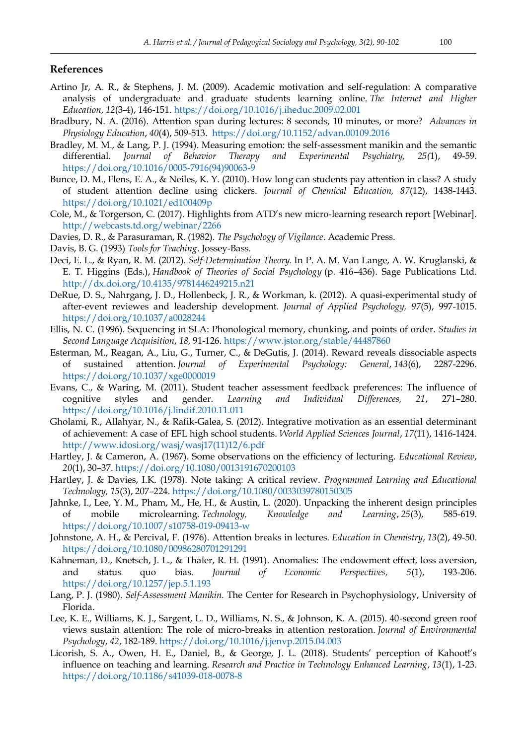#### **References**

- Artino Jr, A. R., & Stephens, J. M. (2009). Academic motivation and self-regulation: A comparative analysis of undergraduate and graduate students learning online. *The Internet and Higher Education*, *12*(3-4), 146-151[. https://doi.org/10.1016/j.iheduc.2009.02.001](https://doi.org/10.1016/j.iheduc.2009.02.001)
- Bradbury, N. A. (2016). Attention span during lectures: 8 seconds, 10 minutes, or more? *Advances in Physiology Education*, *40*(4), 509-513.<https://doi.org/10.1152/advan.00109.2016>
- Bradley, M. M., & Lang, P. J. (1994). Measuring emotion: the self-assessment manikin and the semantic differential. *Journal of Behavior Therapy and Experimental Psychiatry, 25(*1), 49-59. [https://doi.org/10.1016/0005-7916\(94\)90063-9](https://doi.org/10.1016/0005-7916(94)90063-9)
- Bunce, D. M., Flens, E. A., & Neiles, K. Y. (2010). How long can students pay attention in class? A study of student attention decline using clickers. *Journal of Chemical Education, 87*(12), 1438-1443. <https://doi.org/10.1021/ed100409p>
- Cole, M., & Torgerson, C. (2017). Highlights from ATD's new micro-learning research report [Webinar]. <http://webcasts.td.org/webinar/2266>
- Davies, D. R., & Parasuraman, R. (1982). *The Psychology of Vigilance*. Academic Press.
- Davis, B. G. (1993) *Tools for Teaching*. Jossey-Bass.
- Deci, E. L., & Ryan, R. M. (2012). *Self-Determination Theory.* In P. A. M. Van Lange, A. W. Kruglanski, & E. T. Higgins (Eds.), *Handbook of Theories of Social Psychology* (p. 416–436). Sage Publications Ltd. <http://dx.doi.org/10.4135/9781446249215.n21>
- DeRue, D. S., Nahrgang, J. D., Hollenbeck, J. R., & Workman, k. (2012). A quasi-experimental study of after-event reviewes and leadership development. *Journal of Applied Psychology, 97*(5), 997-1015. <https://doi.org/10.1037/a0028244>
- Ellis, N. C. (1996). Sequencing in SLA: Phonological memory, chunking, and points of order. *Studies in Second Language Acquisition*, *18,* 91-126.<https://www.jstor.org/stable/44487860>
- Esterman, M., Reagan, A., Liu, G., Turner, C., & DeGutis, J. (2014). Reward reveals dissociable aspects of sustained attention. *Journal of Experimental Psychology: General*, *143*(6), 2287-2296. [https://doi.org/10.1037/xge0000019](https://psycnet.apa.org/doi/10.1037/xge0000019)
- Evans, C., & Waring, M. (2011). Student teacher assessment feedback preferences: The influence of cognitive styles and gender. *Learning and Individual Differences, 21*, 271–280. <https://doi.org/10.1016/j.lindif.2010.11.011>
- Gholami, R., Allahyar, N., & Rafik-Galea, S. (2012). Integrative motivation as an essential determinant of achievement: A case of EFL high school students. *World Applied Sciences Journal*, *17*(11), 1416-1424. [http://www.idosi.org/wasj/wasj17\(11\)12/6.pdf](http://www.idosi.org/wasj/wasj17(11)12/6.pdf)
- Hartley, J. & Cameron, A. (1967). Some observations on the efficiency of lecturing. *Educational Review*, *20*(1), 30–37.<https://doi.org/10.1080/0013191670200103>
- Hartley, J. & Davies, I.K. (1978). Note taking: A critical review. *Programmed Learning and Educational Technology, 15*(3), 207–224[. https://doi.org/10.1080/0033039780150305](https://doi.org/10.1080/0033039780150305)
- Jahnke, I., Lee, Y. M., Pham, M., He, H., & Austin, L. (2020). Unpacking the inherent design principles of mobile microlearning. *Technology, Knowledge and Learning*, *25*(3), 585-619. <https://doi.org/10.1007/s10758-019-09413-w>
- Johnstone, A. H., & Percival, F. (1976). Attention breaks in lectures. *Education in Chemistry*, *13*(2), 49-50. <https://doi.org/10.1080/00986280701291291>
- Kahneman, D., Knetsch, J. L., & Thaler, R. H. (1991). Anomalies: The endowment effect, loss aversion, and status quo bias. *Journal of Economic Perspectives, 5*(1), 193-206. <https://doi.org/10.1257/jep.5.1.193>
- Lang, P. J. (1980). *Self-Assessment Manikin.* The Center for Research in Psychophysiology, University of Florida.
- Lee, K. E., Williams, K. J., Sargent, L. D., Williams, N. S., & Johnson, K. A. (2015). 40-second green roof views sustain attention: The role of micro-breaks in attention restoration. *Journal of Environmental Psychology*, *42*, 182-189.<https://doi.org/10.1016/j.jenvp.2015.04.003>
- Licorish, S. A., Owen, H. E., Daniel, B., & George, J. L. (2018). Students' perception of Kahoot!'s influence on teaching and learning. *Research and Practice in Technology Enhanced Learning*, *13*(1), 1-23. <https://doi.org/10.1186/s41039-018-0078-8>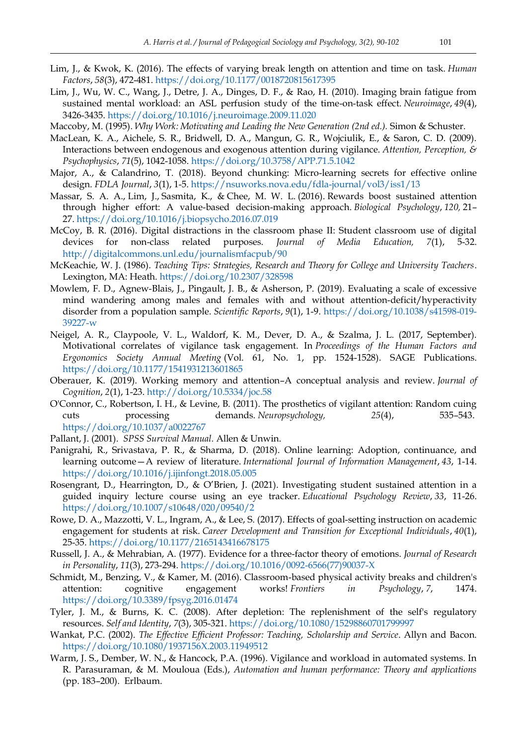- Lim, J., & Kwok, K. (2016). The effects of varying break length on attention and time on task. *Human Factors*, *58*(3), 472-481[. https://doi.org/10.1177/0018720815617395](https://doi.org/10.1177/0018720815617395)
- Lim, J., Wu, W. C., Wang, J., Detre, J. A., Dinges, D. F., & Rao, H. (2010). Imaging brain fatigue from sustained mental workload: an ASL perfusion study of the time-on-task effect. *Neuroimage*, *49*(4), 3426-3435. <https://doi.org/10.1016/j.neuroimage.2009.11.020>
- Maccoby, M. (1995). *Why Work: Motivating and Leading the New Generation (2nd ed.).* Simon & Schuster.
- MacLean, K. A., Aichele, S. R., Bridwell, D. A., Mangun, G. R., Wojciulik, E., & Saron, C. D. (2009). Interactions between endogenous and exogenous attention during vigilance. *Attention, Perception, & Psychophysics*, *71*(5), 1042-1058.<https://doi.org/10.3758/APP.71.5.1042>
- Major, A., & Calandrino, T. (2018). Beyond chunking: Micro-learning secrets for effective online design. *FDLA Journal*, *3*(1), 1-5.<https://nsuworks.nova.edu/fdla-journal/vol3/iss1/13>
- Massar, S. A. A., Lim, J., Sasmita, K., & Chee, M. W. L. (2016). Rewards boost sustained attention through higher effort: A value-based decision-making approach. *Biological Psychology*, *120,* 21– 27. <https://doi.org/10.1016/j.biopsycho.2016.07.019>
- McCoy, B. R. (2016). Digital distractions in the classroom phase II: Student classroom use of digital devices for non-class related purposes. *Journal of Media Education, 7*(1), 5-32. <http://digitalcommons.unl.edu/journalismfacpub/90>
- McKeachie, W. J. (1986). *Teaching Tips: Strategies, Research and Theory for College and University Teachers*. Lexington, MA: Heath.<https://doi.org/10.2307/328598>
- Mowlem, F. D., Agnew-Blais, J., Pingault, J. B., & Asherson, P. (2019). Evaluating a scale of excessive mind wandering among males and females with and without attention-deficit/hyperactivity disorder from a population sample. *Scientific Reports*, *9*(1), 1-9. [https://doi.org/10.1038/s41598-019-](https://doi.org/10.1038/s41598-019-39227-w) [39227-w](https://doi.org/10.1038/s41598-019-39227-w)
- Neigel, A. R., Claypoole, V. L., Waldorf, K. M., Dever, D. A., & Szalma, J. L. (2017, September). Motivational correlates of vigilance task engagement. In *Proceedings of the Human Factors and Ergonomics Society Annual Meeting* (Vol. 61, No. 1, pp. 1524-1528). SAGE Publications. [https://doi.org/10.1177/1541931213601865](https://doi.org/10.1177%2F1541931213601865)
- Oberauer, K. (2019). Working memory and attention–A conceptual analysis and review. *Journal of Cognition*, *2*(1), 1-23.<http://doi.org/10.5334/joc.58>
- O'Connor, C., Robertson, I. H., & Levine, B. (2011). The prosthetics of vigilant attention: Random cuing cuts processing demands. *Neuropsychology, 25*(4), 535–543. [https://doi.org/10.1037/a0022767](https://psycnet.apa.org/doi/10.1037/a0022767)
- Pallant, J. (2001). *SPSS Survival Manual.* Allen & Unwin.
- Panigrahi, R., Srivastava, P. R., & Sharma, D. (2018). Online learning: Adoption, continuance, and learning outcome—A review of literature. *International Journal of Information Management*, *43*, 1-14. <https://doi.org/10.1016/j.ijinfongt.2018.05.005>
- Rosengrant, D., Hearrington, D., & O'Brien, J. (2021). Investigating student sustained attention in a guided inquiry lecture course using an eye tracker. *Educational Psychology Review*, *33*, 11-26. <https://doi.org/10.1007/s10648/020/09540/2>
- Rowe, D. A., Mazzotti, V. L., Ingram, A., & Lee, S. (2017). Effects of goal-setting instruction on academic engagement for students at risk. *Career Development and Transition for Exceptional Individuals*, *40*(1), 25-35[. https://doi.org/10.1177/2165143416678175](https://doi.org/10.1177%2F2165143416678175)
- Russell, J. A., & Mehrabian, A. (1977). Evidence for a three-factor theory of emotions. *Journal of Research in Personality*, *11*(3), 273-294. [https://doi.org/10.1016/0092-6566\(77\)90037-X](https://doi.org/10.1016/0092-6566(77)90037-X)
- Schmidt, M., Benzing, V., & Kamer, M. (2016). Classroom-based physical activity breaks and children's attention: cognitive engagement works! *Frontiers in Psychology*, *7*, 1474. <https://doi.org/10.3389/fpsyg.2016.01474>
- Tyler, J. M., & Burns, K. C. (2008). After depletion: The replenishment of the self's regulatory resources. *Self and Identity*, *7*(3), 305-321.<https://doi.org/10.1080/15298860701799997>
- Wankat, P.C. (2002). *The Effective Efficient Professor: Teaching, Scholarship and Service*. Allyn and Bacon. <https://doi.org/10.1080/1937156X.2003.11949512>
- Warm, J. S., Dember, W. N., & Hancock, P.A. (1996). Vigilance and workload in automated systems. In R. Parasuraman, & M. Mouloua (Eds.), *Automation and human performance: Theory and applications* (pp. 183–200). Erlbaum.